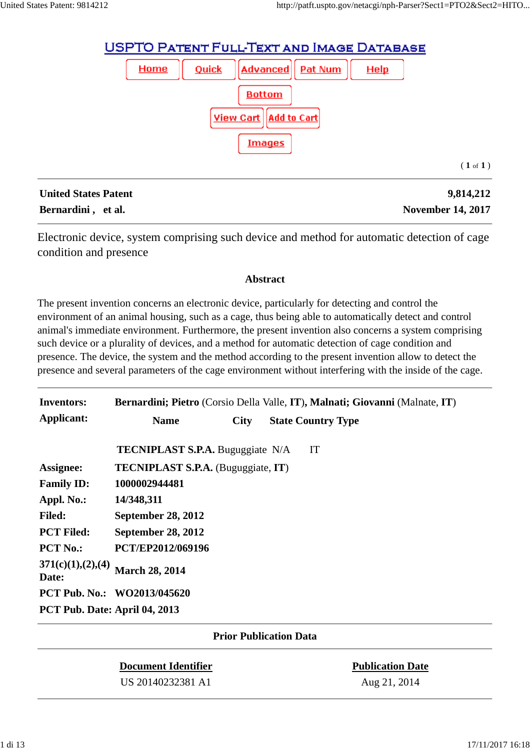

| <b>United States Patent</b> | 9,814,212                |
|-----------------------------|--------------------------|
| Bernardini, et al.          | <b>November 14, 2017</b> |

Electronic device, system comprising such device and method for automatic detection of cage condition and presence

#### **Abstract**

The present invention concerns an electronic device, particularly for detecting and control the environment of an animal housing, such as a cage, thus being able to automatically detect and control animal's immediate environment. Furthermore, the present invention also concerns a system comprising such device or a plurality of devices, and a method for automatic detection of cage condition and presence. The device, the system and the method according to the present invention allow to detect the presence and several parameters of the cage environment without interfering with the inside of the cage.

| <b>Inventors:</b>             | Bernardini; Pietro (Corsio Della Valle, IT), Malnati; Giovanni (Malnate, IT) |             |  |                           |  |  |
|-------------------------------|------------------------------------------------------------------------------|-------------|--|---------------------------|--|--|
| Applicant:                    | <b>Name</b>                                                                  | <b>City</b> |  | <b>State Country Type</b> |  |  |
|                               | <b>TECNIPLAST S.P.A.</b> Buguggiate N/A                                      |             |  | IT                        |  |  |
| Assignee:                     | <b>TECNIPLAST S.P.A.</b> (Buguggiate, IT)                                    |             |  |                           |  |  |
| <b>Family ID:</b>             | 1000002944481                                                                |             |  |                           |  |  |
| Appl. No.:                    | 14/348,311                                                                   |             |  |                           |  |  |
| <b>Filed:</b>                 | <b>September 28, 2012</b>                                                    |             |  |                           |  |  |
| <b>PCT Filed:</b>             | <b>September 28, 2012</b>                                                    |             |  |                           |  |  |
| <b>PCT No.:</b>               | PCT/EP2012/069196                                                            |             |  |                           |  |  |
| 371(c)(1), (2), (4)<br>Date:  | <b>March 28, 2014</b>                                                        |             |  |                           |  |  |
|                               | <b>PCT Pub. No.: WO2013/045620</b>                                           |             |  |                           |  |  |
| PCT Pub. Date: April 04, 2013 |                                                                              |             |  |                           |  |  |

### **Prior Publication Data**

# **Document Identifier Publication Date** US 20140232381 A1 Aug 21, 2014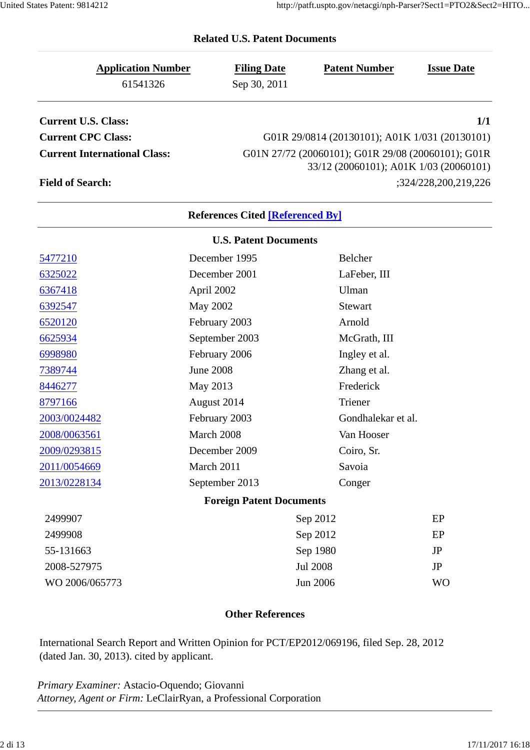| <b>Application Number</b>           | <b>Filing Date</b>                      | <b>Patent Number</b>                               | <b>Issue Date</b>    |  |  |
|-------------------------------------|-----------------------------------------|----------------------------------------------------|----------------------|--|--|
| 61541326                            | Sep 30, 2011                            |                                                    |                      |  |  |
| <b>Current U.S. Class:</b>          |                                         |                                                    | 1/1                  |  |  |
| <b>Current CPC Class:</b>           |                                         | G01R 29/0814 (20130101); A01K 1/031 (20130101)     |                      |  |  |
| <b>Current International Class:</b> |                                         | G01N 27/72 (20060101); G01R 29/08 (20060101); G01R |                      |  |  |
|                                     |                                         | 33/12 (20060101); A01K 1/03 (20060101)             |                      |  |  |
| <b>Field of Search:</b>             |                                         |                                                    | ;324/228,200,219,226 |  |  |
|                                     | <b>References Cited [Referenced By]</b> |                                                    |                      |  |  |
|                                     | <b>U.S. Patent Documents</b>            |                                                    |                      |  |  |
| 5477210                             | December 1995                           | Belcher                                            |                      |  |  |
| 6325022                             | December 2001                           | LaFeber, III                                       |                      |  |  |
| 6367418                             | April 2002                              | Ulman                                              |                      |  |  |
| 6392547                             | <b>May 2002</b>                         | Stewart                                            |                      |  |  |
| 6520120                             | February 2003                           | Arnold                                             |                      |  |  |
| 6625934                             | September 2003                          | McGrath, III                                       |                      |  |  |
| 6998980                             | February 2006                           | Ingley et al.                                      |                      |  |  |
| 7389744                             | <b>June 2008</b>                        | Zhang et al.                                       |                      |  |  |
| 8446277                             | May 2013                                | Frederick                                          |                      |  |  |
| 8797166                             | August 2014                             | Triener                                            |                      |  |  |
| 2003/0024482                        | February 2003                           | Gondhalekar et al.                                 |                      |  |  |
| 2008/0063561                        | March 2008                              | Van Hooser                                         |                      |  |  |
| 2009/0293815                        | December 2009                           | Coiro, Sr.                                         |                      |  |  |
| 2011/0054669                        | March 2011                              | Savoia                                             |                      |  |  |
| 2013/0228134                        | September 2013                          | Conger                                             |                      |  |  |
|                                     | <b>Foreign Patent Documents</b>         |                                                    |                      |  |  |
| 2499907                             |                                         | Sep 2012                                           | EP                   |  |  |
| 2499908                             |                                         | Sep 2012<br>EP                                     |                      |  |  |
| 55-131663                           |                                         | Sep 1980<br><b>JP</b>                              |                      |  |  |
| 2008-527975                         |                                         | <b>Jul 2008</b>                                    | JP                   |  |  |
| WO 2006/065773                      |                                         | Jun 2006                                           | <b>WO</b>            |  |  |
|                                     |                                         |                                                    |                      |  |  |

## **Related U.S. Patent Documents**

#### **Other References**

International Search Report and Written Opinion for PCT/EP2012/069196, filed Sep. 28, 2012 (dated Jan. 30, 2013). cited by applicant.

*Primary Examiner:* Astacio-Oquendo; Giovanni *Attorney, Agent or Firm:* LeClairRyan, a Professional Corporation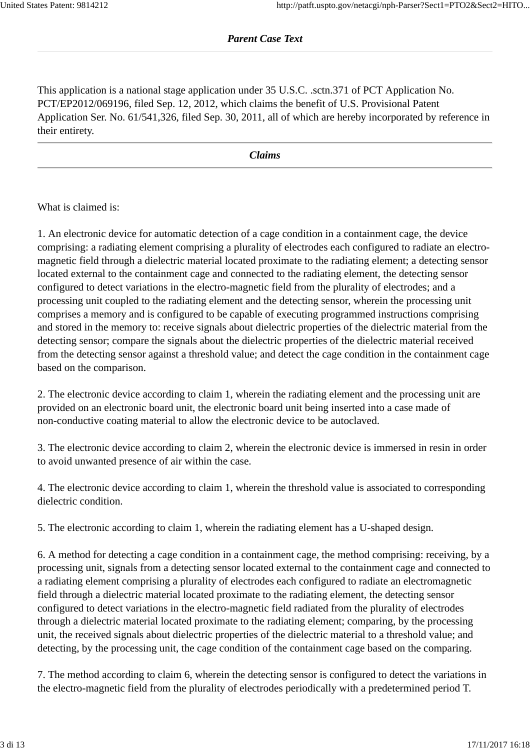This application is a national stage application under 35 U.S.C. .sctn.371 of PCT Application No. PCT/EP2012/069196, filed Sep. 12, 2012, which claims the benefit of U.S. Provisional Patent Application Ser. No. 61/541,326, filed Sep. 30, 2011, all of which are hereby incorporated by reference in their entirety.

*Claims*

What is claimed is:

1. An electronic device for automatic detection of a cage condition in a containment cage, the device comprising: a radiating element comprising a plurality of electrodes each configured to radiate an electromagnetic field through a dielectric material located proximate to the radiating element; a detecting sensor located external to the containment cage and connected to the radiating element, the detecting sensor configured to detect variations in the electro-magnetic field from the plurality of electrodes; and a processing unit coupled to the radiating element and the detecting sensor, wherein the processing unit comprises a memory and is configured to be capable of executing programmed instructions comprising and stored in the memory to: receive signals about dielectric properties of the dielectric material from the detecting sensor; compare the signals about the dielectric properties of the dielectric material received from the detecting sensor against a threshold value; and detect the cage condition in the containment cage based on the comparison.

2. The electronic device according to claim 1, wherein the radiating element and the processing unit are provided on an electronic board unit, the electronic board unit being inserted into a case made of non-conductive coating material to allow the electronic device to be autoclaved.

3. The electronic device according to claim 2, wherein the electronic device is immersed in resin in order to avoid unwanted presence of air within the case.

4. The electronic device according to claim 1, wherein the threshold value is associated to corresponding dielectric condition.

5. The electronic according to claim 1, wherein the radiating element has a U-shaped design.

6. A method for detecting a cage condition in a containment cage, the method comprising: receiving, by a processing unit, signals from a detecting sensor located external to the containment cage and connected to a radiating element comprising a plurality of electrodes each configured to radiate an electromagnetic field through a dielectric material located proximate to the radiating element, the detecting sensor configured to detect variations in the electro-magnetic field radiated from the plurality of electrodes through a dielectric material located proximate to the radiating element; comparing, by the processing unit, the received signals about dielectric properties of the dielectric material to a threshold value; and detecting, by the processing unit, the cage condition of the containment cage based on the comparing.

7. The method according to claim 6, wherein the detecting sensor is configured to detect the variations in the electro-magnetic field from the plurality of electrodes periodically with a predetermined period T.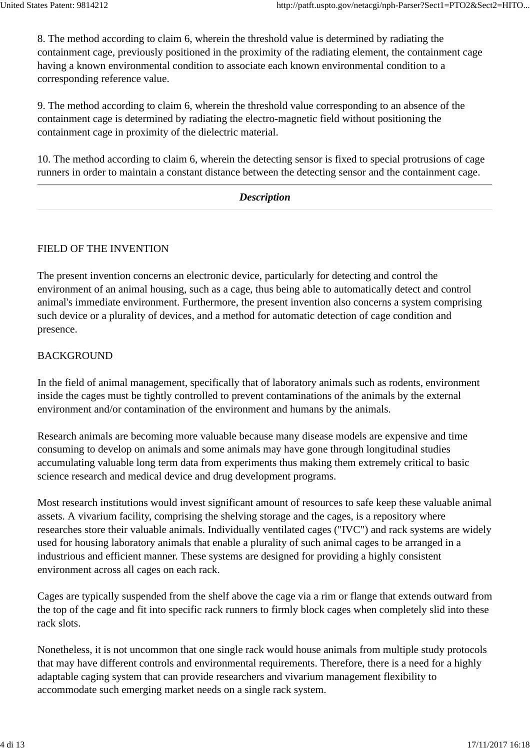8. The method according to claim 6, wherein the threshold value is determined by radiating the containment cage, previously positioned in the proximity of the radiating element, the containment cage having a known environmental condition to associate each known environmental condition to a corresponding reference value.

9. The method according to claim 6, wherein the threshold value corresponding to an absence of the containment cage is determined by radiating the electro-magnetic field without positioning the containment cage in proximity of the dielectric material.

10. The method according to claim 6, wherein the detecting sensor is fixed to special protrusions of cage runners in order to maintain a constant distance between the detecting sensor and the containment cage.

| $\Gamma$<br>Description |  |
|-------------------------|--|
|                         |  |

### FIELD OF THE INVENTION

The present invention concerns an electronic device, particularly for detecting and control the environment of an animal housing, such as a cage, thus being able to automatically detect and control animal's immediate environment. Furthermore, the present invention also concerns a system comprising such device or a plurality of devices, and a method for automatic detection of cage condition and presence.

### BACKGROUND

In the field of animal management, specifically that of laboratory animals such as rodents, environment inside the cages must be tightly controlled to prevent contaminations of the animals by the external environment and/or contamination of the environment and humans by the animals.

Research animals are becoming more valuable because many disease models are expensive and time consuming to develop on animals and some animals may have gone through longitudinal studies accumulating valuable long term data from experiments thus making them extremely critical to basic science research and medical device and drug development programs.

Most research institutions would invest significant amount of resources to safe keep these valuable animal assets. A vivarium facility, comprising the shelving storage and the cages, is a repository where researches store their valuable animals. Individually ventilated cages ("IVC") and rack systems are widely used for housing laboratory animals that enable a plurality of such animal cages to be arranged in a industrious and efficient manner. These systems are designed for providing a highly consistent environment across all cages on each rack.

Cages are typically suspended from the shelf above the cage via a rim or flange that extends outward from the top of the cage and fit into specific rack runners to firmly block cages when completely slid into these rack slots.

Nonetheless, it is not uncommon that one single rack would house animals from multiple study protocols that may have different controls and environmental requirements. Therefore, there is a need for a highly adaptable caging system that can provide researchers and vivarium management flexibility to accommodate such emerging market needs on a single rack system.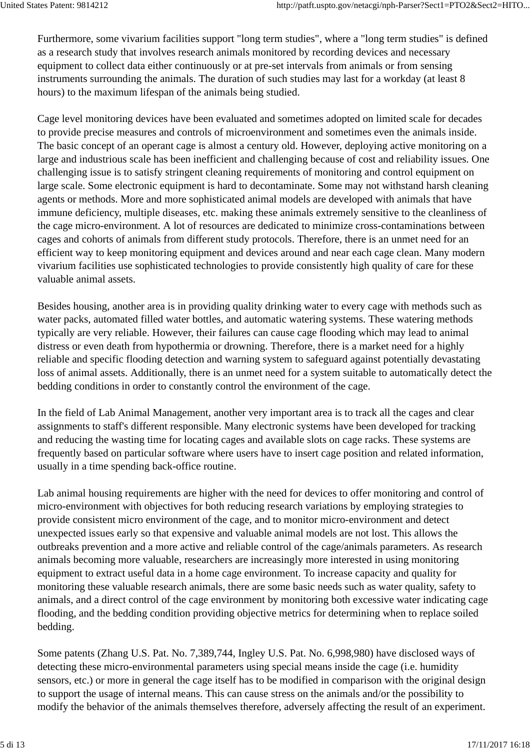Furthermore, some vivarium facilities support "long term studies", where a "long term studies" is defined as a research study that involves research animals monitored by recording devices and necessary equipment to collect data either continuously or at pre-set intervals from animals or from sensing instruments surrounding the animals. The duration of such studies may last for a workday (at least 8 hours) to the maximum lifespan of the animals being studied.

Cage level monitoring devices have been evaluated and sometimes adopted on limited scale for decades to provide precise measures and controls of microenvironment and sometimes even the animals inside. The basic concept of an operant cage is almost a century old. However, deploying active monitoring on a large and industrious scale has been inefficient and challenging because of cost and reliability issues. One challenging issue is to satisfy stringent cleaning requirements of monitoring and control equipment on large scale. Some electronic equipment is hard to decontaminate. Some may not withstand harsh cleaning agents or methods. More and more sophisticated animal models are developed with animals that have immune deficiency, multiple diseases, etc. making these animals extremely sensitive to the cleanliness of the cage micro-environment. A lot of resources are dedicated to minimize cross-contaminations between cages and cohorts of animals from different study protocols. Therefore, there is an unmet need for an efficient way to keep monitoring equipment and devices around and near each cage clean. Many modern vivarium facilities use sophisticated technologies to provide consistently high quality of care for these valuable animal assets.

Besides housing, another area is in providing quality drinking water to every cage with methods such as water packs, automated filled water bottles, and automatic watering systems. These watering methods typically are very reliable. However, their failures can cause cage flooding which may lead to animal distress or even death from hypothermia or drowning. Therefore, there is a market need for a highly reliable and specific flooding detection and warning system to safeguard against potentially devastating loss of animal assets. Additionally, there is an unmet need for a system suitable to automatically detect the bedding conditions in order to constantly control the environment of the cage.

In the field of Lab Animal Management, another very important area is to track all the cages and clear assignments to staff's different responsible. Many electronic systems have been developed for tracking and reducing the wasting time for locating cages and available slots on cage racks. These systems are frequently based on particular software where users have to insert cage position and related information, usually in a time spending back-office routine.

Lab animal housing requirements are higher with the need for devices to offer monitoring and control of micro-environment with objectives for both reducing research variations by employing strategies to provide consistent micro environment of the cage, and to monitor micro-environment and detect unexpected issues early so that expensive and valuable animal models are not lost. This allows the outbreaks prevention and a more active and reliable control of the cage/animals parameters. As research animals becoming more valuable, researchers are increasingly more interested in using monitoring equipment to extract useful data in a home cage environment. To increase capacity and quality for monitoring these valuable research animals, there are some basic needs such as water quality, safety to animals, and a direct control of the cage environment by monitoring both excessive water indicating cage flooding, and the bedding condition providing objective metrics for determining when to replace soiled bedding.

Some patents (Zhang U.S. Pat. No. 7,389,744, Ingley U.S. Pat. No. 6,998,980) have disclosed ways of detecting these micro-environmental parameters using special means inside the cage (i.e. humidity sensors, etc.) or more in general the cage itself has to be modified in comparison with the original design to support the usage of internal means. This can cause stress on the animals and/or the possibility to modify the behavior of the animals themselves therefore, adversely affecting the result of an experiment.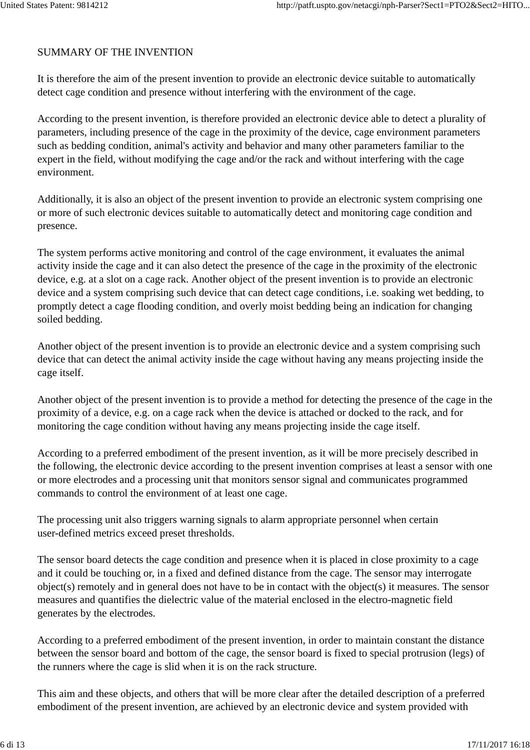## SUMMARY OF THE INVENTION

It is therefore the aim of the present invention to provide an electronic device suitable to automatically detect cage condition and presence without interfering with the environment of the cage.

According to the present invention, is therefore provided an electronic device able to detect a plurality of parameters, including presence of the cage in the proximity of the device, cage environment parameters such as bedding condition, animal's activity and behavior and many other parameters familiar to the expert in the field, without modifying the cage and/or the rack and without interfering with the cage environment.

Additionally, it is also an object of the present invention to provide an electronic system comprising one or more of such electronic devices suitable to automatically detect and monitoring cage condition and presence.

The system performs active monitoring and control of the cage environment, it evaluates the animal activity inside the cage and it can also detect the presence of the cage in the proximity of the electronic device, e.g. at a slot on a cage rack. Another object of the present invention is to provide an electronic device and a system comprising such device that can detect cage conditions, i.e. soaking wet bedding, to promptly detect a cage flooding condition, and overly moist bedding being an indication for changing soiled bedding.

Another object of the present invention is to provide an electronic device and a system comprising such device that can detect the animal activity inside the cage without having any means projecting inside the cage itself.

Another object of the present invention is to provide a method for detecting the presence of the cage in the proximity of a device, e.g. on a cage rack when the device is attached or docked to the rack, and for monitoring the cage condition without having any means projecting inside the cage itself.

According to a preferred embodiment of the present invention, as it will be more precisely described in the following, the electronic device according to the present invention comprises at least a sensor with one or more electrodes and a processing unit that monitors sensor signal and communicates programmed commands to control the environment of at least one cage.

The processing unit also triggers warning signals to alarm appropriate personnel when certain user-defined metrics exceed preset thresholds.

The sensor board detects the cage condition and presence when it is placed in close proximity to a cage and it could be touching or, in a fixed and defined distance from the cage. The sensor may interrogate object(s) remotely and in general does not have to be in contact with the object(s) it measures. The sensor measures and quantifies the dielectric value of the material enclosed in the electro-magnetic field generates by the electrodes.

According to a preferred embodiment of the present invention, in order to maintain constant the distance between the sensor board and bottom of the cage, the sensor board is fixed to special protrusion (legs) of the runners where the cage is slid when it is on the rack structure.

This aim and these objects, and others that will be more clear after the detailed description of a preferred embodiment of the present invention, are achieved by an electronic device and system provided with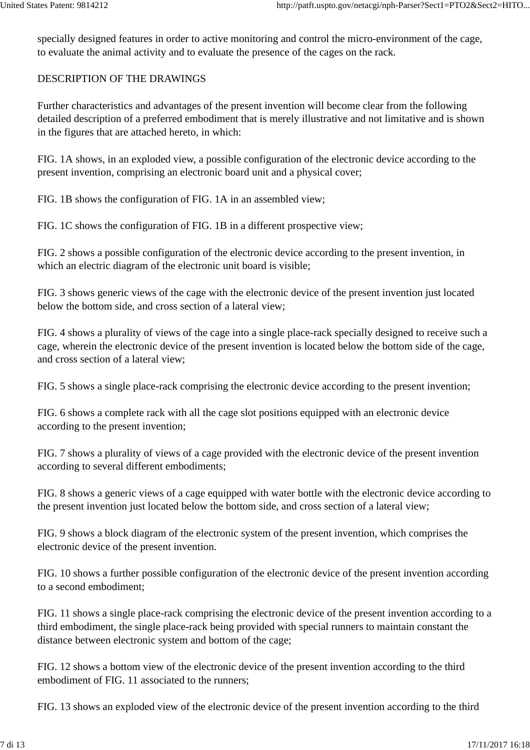specially designed features in order to active monitoring and control the micro-environment of the cage, to evaluate the animal activity and to evaluate the presence of the cages on the rack.

#### DESCRIPTION OF THE DRAWINGS

Further characteristics and advantages of the present invention will become clear from the following detailed description of a preferred embodiment that is merely illustrative and not limitative and is shown in the figures that are attached hereto, in which:

FIG. 1A shows, in an exploded view, a possible configuration of the electronic device according to the present invention, comprising an electronic board unit and a physical cover;

FIG. 1B shows the configuration of FIG. 1A in an assembled view;

FIG. 1C shows the configuration of FIG. 1B in a different prospective view;

FIG. 2 shows a possible configuration of the electronic device according to the present invention, in which an electric diagram of the electronic unit board is visible;

FIG. 3 shows generic views of the cage with the electronic device of the present invention just located below the bottom side, and cross section of a lateral view;

FIG. 4 shows a plurality of views of the cage into a single place-rack specially designed to receive such a cage, wherein the electronic device of the present invention is located below the bottom side of the cage, and cross section of a lateral view;

FIG. 5 shows a single place-rack comprising the electronic device according to the present invention;

FIG. 6 shows a complete rack with all the cage slot positions equipped with an electronic device according to the present invention;

FIG. 7 shows a plurality of views of a cage provided with the electronic device of the present invention according to several different embodiments;

FIG. 8 shows a generic views of a cage equipped with water bottle with the electronic device according to the present invention just located below the bottom side, and cross section of a lateral view;

FIG. 9 shows a block diagram of the electronic system of the present invention, which comprises the electronic device of the present invention.

FIG. 10 shows a further possible configuration of the electronic device of the present invention according to a second embodiment;

FIG. 11 shows a single place-rack comprising the electronic device of the present invention according to a third embodiment, the single place-rack being provided with special runners to maintain constant the distance between electronic system and bottom of the cage;

FIG. 12 shows a bottom view of the electronic device of the present invention according to the third embodiment of FIG. 11 associated to the runners;

FIG. 13 shows an exploded view of the electronic device of the present invention according to the third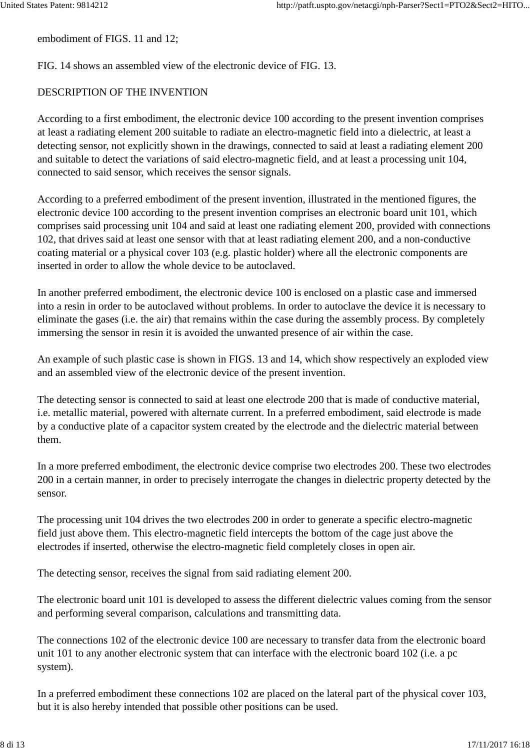embodiment of FIGS. 11 and 12;

FIG. 14 shows an assembled view of the electronic device of FIG. 13.

## DESCRIPTION OF THE INVENTION

According to a first embodiment, the electronic device 100 according to the present invention comprises at least a radiating element 200 suitable to radiate an electro-magnetic field into a dielectric, at least a detecting sensor, not explicitly shown in the drawings, connected to said at least a radiating element 200 and suitable to detect the variations of said electro-magnetic field, and at least a processing unit 104, connected to said sensor, which receives the sensor signals.

According to a preferred embodiment of the present invention, illustrated in the mentioned figures, the electronic device 100 according to the present invention comprises an electronic board unit 101, which comprises said processing unit 104 and said at least one radiating element 200, provided with connections 102, that drives said at least one sensor with that at least radiating element 200, and a non-conductive coating material or a physical cover 103 (e.g. plastic holder) where all the electronic components are inserted in order to allow the whole device to be autoclaved.

In another preferred embodiment, the electronic device 100 is enclosed on a plastic case and immersed into a resin in order to be autoclaved without problems. In order to autoclave the device it is necessary to eliminate the gases (i.e. the air) that remains within the case during the assembly process. By completely immersing the sensor in resin it is avoided the unwanted presence of air within the case.

An example of such plastic case is shown in FIGS. 13 and 14, which show respectively an exploded view and an assembled view of the electronic device of the present invention.

The detecting sensor is connected to said at least one electrode 200 that is made of conductive material, i.e. metallic material, powered with alternate current. In a preferred embodiment, said electrode is made by a conductive plate of a capacitor system created by the electrode and the dielectric material between them.

In a more preferred embodiment, the electronic device comprise two electrodes 200. These two electrodes 200 in a certain manner, in order to precisely interrogate the changes in dielectric property detected by the sensor.

The processing unit 104 drives the two electrodes 200 in order to generate a specific electro-magnetic field just above them. This electro-magnetic field intercepts the bottom of the cage just above the electrodes if inserted, otherwise the electro-magnetic field completely closes in open air.

The detecting sensor, receives the signal from said radiating element 200.

The electronic board unit 101 is developed to assess the different dielectric values coming from the sensor and performing several comparison, calculations and transmitting data.

The connections 102 of the electronic device 100 are necessary to transfer data from the electronic board unit 101 to any another electronic system that can interface with the electronic board 102 (i.e. a pc system).

In a preferred embodiment these connections 102 are placed on the lateral part of the physical cover 103, but it is also hereby intended that possible other positions can be used.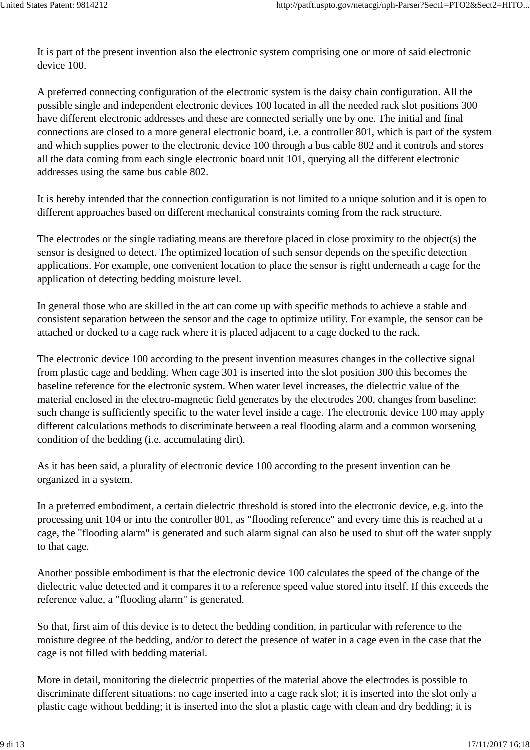It is part of the present invention also the electronic system comprising one or more of said electronic device 100.

A preferred connecting configuration of the electronic system is the daisy chain configuration. All the possible single and independent electronic devices 100 located in all the needed rack slot positions 300 have different electronic addresses and these are connected serially one by one. The initial and final connections are closed to a more general electronic board, i.e. a controller 801, which is part of the system and which supplies power to the electronic device 100 through a bus cable 802 and it controls and stores all the data coming from each single electronic board unit 101, querying all the different electronic addresses using the same bus cable 802.

It is hereby intended that the connection configuration is not limited to a unique solution and it is open to different approaches based on different mechanical constraints coming from the rack structure.

The electrodes or the single radiating means are therefore placed in close proximity to the object(s) the sensor is designed to detect. The optimized location of such sensor depends on the specific detection applications. For example, one convenient location to place the sensor is right underneath a cage for the application of detecting bedding moisture level.

In general those who are skilled in the art can come up with specific methods to achieve a stable and consistent separation between the sensor and the cage to optimize utility. For example, the sensor can be attached or docked to a cage rack where it is placed adjacent to a cage docked to the rack.

The electronic device 100 according to the present invention measures changes in the collective signal from plastic cage and bedding. When cage 301 is inserted into the slot position 300 this becomes the baseline reference for the electronic system. When water level increases, the dielectric value of the material enclosed in the electro-magnetic field generates by the electrodes 200, changes from baseline; such change is sufficiently specific to the water level inside a cage. The electronic device 100 may apply different calculations methods to discriminate between a real flooding alarm and a common worsening condition of the bedding (i.e. accumulating dirt).

As it has been said, a plurality of electronic device 100 according to the present invention can be organized in a system.

In a preferred embodiment, a certain dielectric threshold is stored into the electronic device, e.g. into the processing unit 104 or into the controller 801, as "flooding reference" and every time this is reached at a cage, the "flooding alarm" is generated and such alarm signal can also be used to shut off the water supply to that cage.

Another possible embodiment is that the electronic device 100 calculates the speed of the change of the dielectric value detected and it compares it to a reference speed value stored into itself. If this exceeds the reference value, a "flooding alarm" is generated.

So that, first aim of this device is to detect the bedding condition, in particular with reference to the moisture degree of the bedding, and/or to detect the presence of water in a cage even in the case that the cage is not filled with bedding material.

More in detail, monitoring the dielectric properties of the material above the electrodes is possible to discriminate different situations: no cage inserted into a cage rack slot; it is inserted into the slot only a plastic cage without bedding; it is inserted into the slot a plastic cage with clean and dry bedding; it is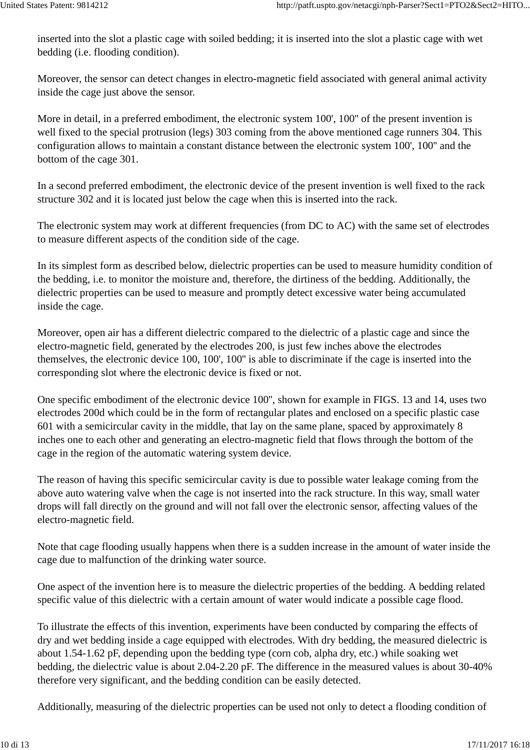inserted into the slot a plastic cage with soiled bedding; it is inserted into the slot a plastic cage with wet bedding (i.e. flooding condition).

Moreover, the sensor can detect changes in electro-magnetic field associated with general animal activity inside the cage just above the sensor.

More in detail, in a preferred embodiment, the electronic system 100', 100'' of the present invention is well fixed to the special protrusion (legs) 303 coming from the above mentioned cage runners 304. This configuration allows to maintain a constant distance between the electronic system 100', 100'' and the bottom of the cage 301.

In a second preferred embodiment, the electronic device of the present invention is well fixed to the rack structure 302 and it is located just below the cage when this is inserted into the rack.

The electronic system may work at different frequencies (from DC to AC) with the same set of electrodes to measure different aspects of the condition side of the cage.

In its simplest form as described below, dielectric properties can be used to measure humidity condition of the bedding, i.e. to monitor the moisture and, therefore, the dirtiness of the bedding. Additionally, the dielectric properties can be used to measure and promptly detect excessive water being accumulated inside the cage.

Moreover, open air has a different dielectric compared to the dielectric of a plastic cage and since the electro-magnetic field, generated by the electrodes 200, is just few inches above the electrodes themselves, the electronic device 100, 100', 100'' is able to discriminate if the cage is inserted into the corresponding slot where the electronic device is fixed or not.

One specific embodiment of the electronic device 100'', shown for example in FIGS. 13 and 14, uses two electrodes 200d which could be in the form of rectangular plates and enclosed on a specific plastic case 601 with a semicircular cavity in the middle, that lay on the same plane, spaced by approximately 8 inches one to each other and generating an electro-magnetic field that flows through the bottom of the cage in the region of the automatic watering system device.

The reason of having this specific semicircular cavity is due to possible water leakage coming from the above auto watering valve when the cage is not inserted into the rack structure. In this way, small water drops will fall directly on the ground and will not fall over the electronic sensor, affecting values of the electro-magnetic field.

Note that cage flooding usually happens when there is a sudden increase in the amount of water inside the cage due to malfunction of the drinking water source.

One aspect of the invention here is to measure the dielectric properties of the bedding. A bedding related specific value of this dielectric with a certain amount of water would indicate a possible cage flood.

To illustrate the effects of this invention, experiments have been conducted by comparing the effects of dry and wet bedding inside a cage equipped with electrodes. With dry bedding, the measured dielectric is about 1.54-1.62 pF, depending upon the bedding type (corn cob, alpha dry, etc.) while soaking wet bedding, the dielectric value is about 2.04-2.20 pF. The difference in the measured values is about 30-40% therefore very significant, and the bedding condition can be easily detected.

Additionally, measuring of the dielectric properties can be used not only to detect a flooding condition of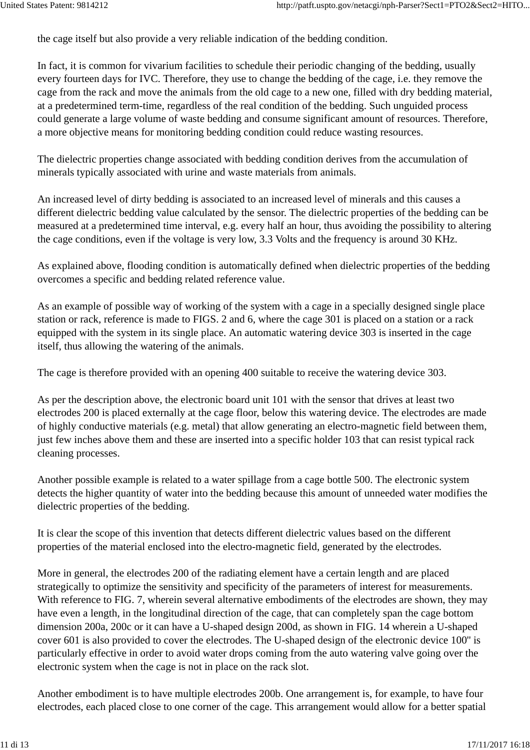the cage itself but also provide a very reliable indication of the bedding condition.

In fact, it is common for vivarium facilities to schedule their periodic changing of the bedding, usually every fourteen days for IVC. Therefore, they use to change the bedding of the cage, i.e. they remove the cage from the rack and move the animals from the old cage to a new one, filled with dry bedding material, at a predetermined term-time, regardless of the real condition of the bedding. Such unguided process could generate a large volume of waste bedding and consume significant amount of resources. Therefore, a more objective means for monitoring bedding condition could reduce wasting resources.

The dielectric properties change associated with bedding condition derives from the accumulation of minerals typically associated with urine and waste materials from animals.

An increased level of dirty bedding is associated to an increased level of minerals and this causes a different dielectric bedding value calculated by the sensor. The dielectric properties of the bedding can be measured at a predetermined time interval, e.g. every half an hour, thus avoiding the possibility to altering the cage conditions, even if the voltage is very low, 3.3 Volts and the frequency is around 30 KHz.

As explained above, flooding condition is automatically defined when dielectric properties of the bedding overcomes a specific and bedding related reference value.

As an example of possible way of working of the system with a cage in a specially designed single place station or rack, reference is made to FIGS. 2 and 6, where the cage 301 is placed on a station or a rack equipped with the system in its single place. An automatic watering device 303 is inserted in the cage itself, thus allowing the watering of the animals.

The cage is therefore provided with an opening 400 suitable to receive the watering device 303.

As per the description above, the electronic board unit 101 with the sensor that drives at least two electrodes 200 is placed externally at the cage floor, below this watering device. The electrodes are made of highly conductive materials (e.g. metal) that allow generating an electro-magnetic field between them, just few inches above them and these are inserted into a specific holder 103 that can resist typical rack cleaning processes.

Another possible example is related to a water spillage from a cage bottle 500. The electronic system detects the higher quantity of water into the bedding because this amount of unneeded water modifies the dielectric properties of the bedding.

It is clear the scope of this invention that detects different dielectric values based on the different properties of the material enclosed into the electro-magnetic field, generated by the electrodes.

More in general, the electrodes 200 of the radiating element have a certain length and are placed strategically to optimize the sensitivity and specificity of the parameters of interest for measurements. With reference to FIG. 7, wherein several alternative embodiments of the electrodes are shown, they may have even a length, in the longitudinal direction of the cage, that can completely span the cage bottom dimension 200a, 200c or it can have a U-shaped design 200d, as shown in FIG. 14 wherein a U-shaped cover 601 is also provided to cover the electrodes. The U-shaped design of the electronic device 100'' is particularly effective in order to avoid water drops coming from the auto watering valve going over the electronic system when the cage is not in place on the rack slot.

Another embodiment is to have multiple electrodes 200b. One arrangement is, for example, to have four electrodes, each placed close to one corner of the cage. This arrangement would allow for a better spatial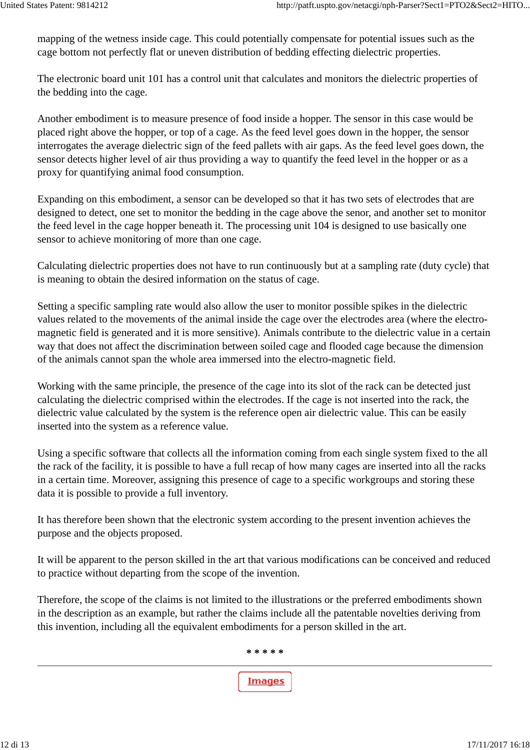mapping of the wetness inside cage. This could potentially compensate for potential issues such as the cage bottom not perfectly flat or uneven distribution of bedding effecting dielectric properties.

The electronic board unit 101 has a control unit that calculates and monitors the dielectric properties of the bedding into the cage.

Another embodiment is to measure presence of food inside a hopper. The sensor in this case would be placed right above the hopper, or top of a cage. As the feed level goes down in the hopper, the sensor interrogates the average dielectric sign of the feed pallets with air gaps. As the feed level goes down, the sensor detects higher level of air thus providing a way to quantify the feed level in the hopper or as a proxy for quantifying animal food consumption.

Expanding on this embodiment, a sensor can be developed so that it has two sets of electrodes that are designed to detect, one set to monitor the bedding in the cage above the senor, and another set to monitor the feed level in the cage hopper beneath it. The processing unit 104 is designed to use basically one sensor to achieve monitoring of more than one cage.

Calculating dielectric properties does not have to run continuously but at a sampling rate (duty cycle) that is meaning to obtain the desired information on the status of cage.

Setting a specific sampling rate would also allow the user to monitor possible spikes in the dielectric values related to the movements of the animal inside the cage over the electrodes area (where the electromagnetic field is generated and it is more sensitive). Animals contribute to the dielectric value in a certain way that does not affect the discrimination between soiled cage and flooded cage because the dimension of the animals cannot span the whole area immersed into the electro-magnetic field.

Working with the same principle, the presence of the cage into its slot of the rack can be detected just calculating the dielectric comprised within the electrodes. If the cage is not inserted into the rack, the dielectric value calculated by the system is the reference open air dielectric value. This can be easily inserted into the system as a reference value.

Using a specific software that collects all the information coming from each single system fixed to the all the rack of the facility, it is possible to have a full recap of how many cages are inserted into all the racks in a certain time. Moreover, assigning this presence of cage to a specific workgroups and storing these data it is possible to provide a full inventory.

It has therefore been shown that the electronic system according to the present invention achieves the purpose and the objects proposed.

It will be apparent to the person skilled in the art that various modifications can be conceived and reduced to practice without departing from the scope of the invention.

Therefore, the scope of the claims is not limited to the illustrations or the preferred embodiments shown in the description as an example, but rather the claims include all the patentable novelties deriving from this invention, including all the equivalent embodiments for a person skilled in the art.

**\* \* \* \* \***

**Images**